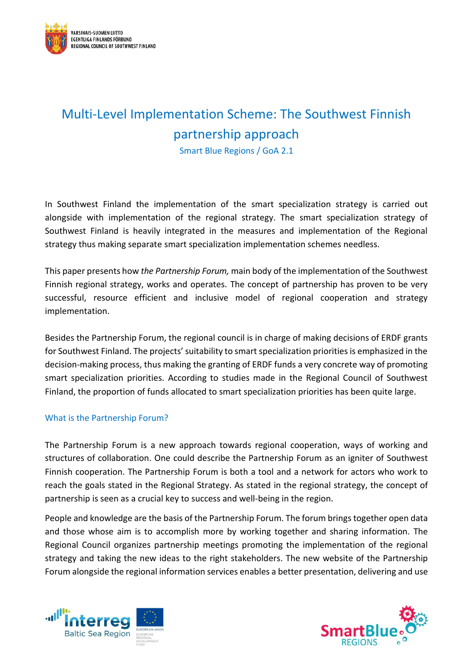

# Multi-Level Implementation Scheme: The Southwest Finnish partnership approach

Smart Blue Regions / GoA 2.1

In Southwest Finland the implementation of the smart specialization strategy is carried out alongside with implementation of the regional strategy. The smart specialization strategy of Southwest Finland is heavily integrated in the measures and implementation of the Regional strategy thus making separate smart specialization implementation schemes needless.

This paper presents how *the Partnership Forum,* main body of the implementation of the Southwest Finnish regional strategy, works and operates. The concept of partnership has proven to be very successful, resource efficient and inclusive model of regional cooperation and strategy implementation.

Besides the Partnership Forum, the regional council is in charge of making decisions of ERDF grants for Southwest Finland. The projects' suitability to smart specialization priorities is emphasized in the decision-making process, thus making the granting of ERDF funds a very concrete way of promoting smart specialization priorities. According to studies made in the Regional Council of Southwest Finland, the proportion of funds allocated to smart specialization priorities has been quite large.

## What is the Partnership Forum?

The Partnership Forum is a new approach towards regional cooperation, ways of working and structures of collaboration. One could describe the Partnership Forum as an igniter of Southwest Finnish cooperation. The Partnership Forum is both a tool and a network for actors who work to reach the goals stated in the Regional Strategy. As stated in the regional strategy, the concept of partnership is seen as a crucial key to success and well-being in the region.

People and knowledge are the basis of the Partnership Forum. The forum brings together open data and those whose aim is to accomplish more by working together and sharing information. The Regional Council organizes partnership meetings promoting the implementation of the regional strategy and taking the new ideas to the right stakeholders. The new website of the Partnership Forum alongside the regional information services enables a better presentation, delivering and use



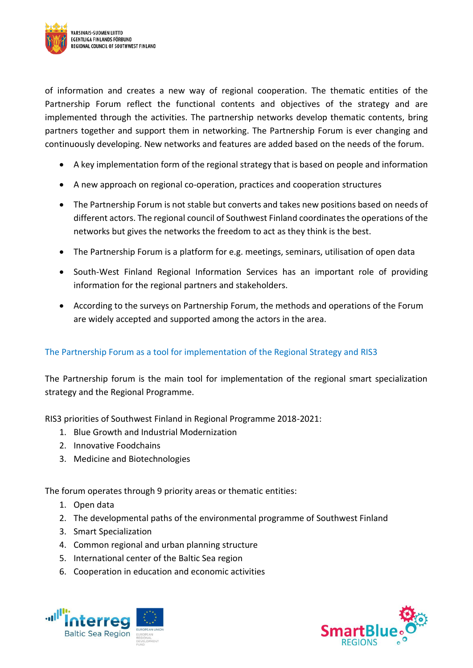

of information and creates a new way of regional cooperation. The thematic entities of the Partnership Forum reflect the functional contents and objectives of the strategy and are implemented through the activities. The partnership networks develop thematic contents, bring partners together and support them in networking. The Partnership Forum is ever changing and continuously developing. New networks and features are added based on the needs of the forum.

- A key implementation form of the regional strategy that is based on people and information
- A new approach on regional co-operation, practices and cooperation structures
- The Partnership Forum is not stable but converts and takes new positions based on needs of different actors. The regional council of Southwest Finland coordinatesthe operations of the networks but gives the networks the freedom to act as they think is the best.
- The Partnership Forum is a platform for e.g. meetings, seminars, utilisation of open data
- South-West Finland Regional Information Services has an important role of providing information for the regional partners and stakeholders.
- According to the surveys on Partnership Forum, the methods and operations of the Forum are widely accepted and supported among the actors in the area.

## The Partnership Forum as a tool for implementation of the Regional Strategy and RIS3

The Partnership forum is the main tool for implementation of the regional smart specialization strategy and the Regional Programme.

RIS3 priorities of Southwest Finland in Regional Programme 2018-2021:

- 1. Blue Growth and Industrial Modernization
- 2. Innovative Foodchains
- 3. Medicine and Biotechnologies

The forum operates through 9 priority areas or thematic entities:

- 1. Open data
- 2. The developmental paths of the environmental programme of Southwest Finland
- 3. Smart Specialization
- 4. Common regional and urban planning structure
- 5. International center of the Baltic Sea region
- 6. Cooperation in education and economic activities



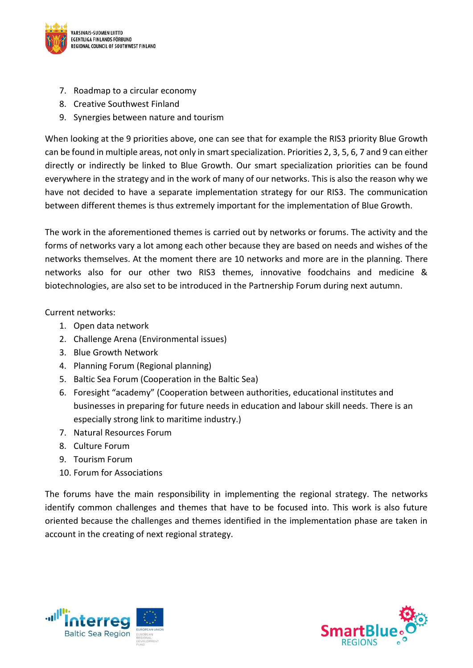

- 7. Roadmap to a circular economy
- 8. Creative Southwest Finland
- 9. Synergies between nature and tourism

When looking at the 9 priorities above, one can see that for example the RIS3 priority Blue Growth can be found in multiple areas, not only in smart specialization. Priorities 2, 3, 5, 6, 7 and 9 can either directly or indirectly be linked to Blue Growth. Our smart specialization priorities can be found everywhere in the strategy and in the work of many of our networks. This is also the reason why we have not decided to have a separate implementation strategy for our RIS3. The communication between different themes is thus extremely important for the implementation of Blue Growth.

The work in the aforementioned themes is carried out by networks or forums. The activity and the forms of networks vary a lot among each other because they are based on needs and wishes of the networks themselves. At the moment there are 10 networks and more are in the planning. There networks also for our other two RIS3 themes, innovative foodchains and medicine & biotechnologies, are also set to be introduced in the Partnership Forum during next autumn.

Current networks:

- 1. Open data network
- 2. Challenge Arena (Environmental issues)
- 3. Blue Growth Network
- 4. Planning Forum (Regional planning)
- 5. Baltic Sea Forum (Cooperation in the Baltic Sea)
- 6. Foresight "academy" (Cooperation between authorities, educational institutes and businesses in preparing for future needs in education and labour skill needs. There is an especially strong link to maritime industry.)
- 7. Natural Resources Forum
- 8. Culture Forum
- 9. Tourism Forum
- 10. Forum for Associations

The forums have the main responsibility in implementing the regional strategy. The networks identify common challenges and themes that have to be focused into. This work is also future oriented because the challenges and themes identified in the implementation phase are taken in account in the creating of next regional strategy.



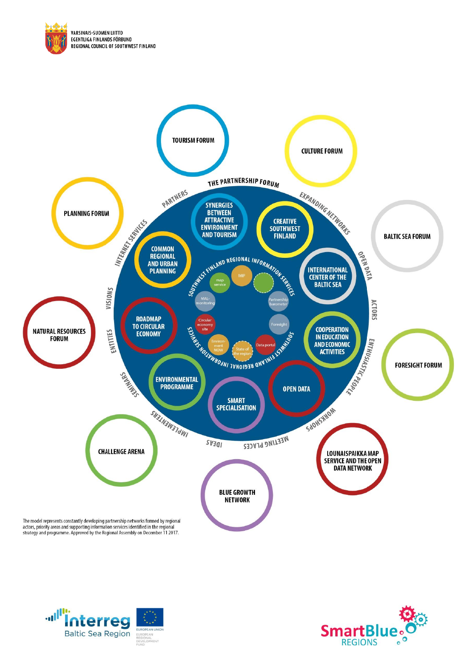





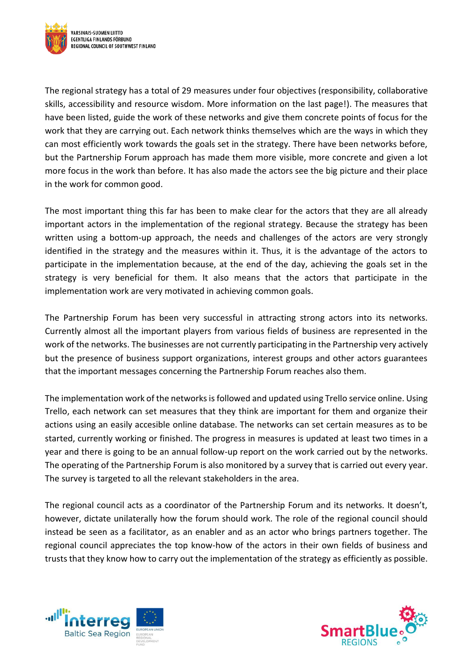

The regional strategy has a total of 29 measures under four objectives (responsibility, collaborative skills, accessibility and resource wisdom. More information on the last page!). The measures that have been listed, guide the work of these networks and give them concrete points of focus for the work that they are carrying out. Each network thinks themselves which are the ways in which they can most efficiently work towards the goals set in the strategy. There have been networks before, but the Partnership Forum approach has made them more visible, more concrete and given a lot more focus in the work than before. It has also made the actors see the big picture and their place in the work for common good.

The most important thing this far has been to make clear for the actors that they are all already important actors in the implementation of the regional strategy. Because the strategy has been written using a bottom-up approach, the needs and challenges of the actors are very strongly identified in the strategy and the measures within it. Thus, it is the advantage of the actors to participate in the implementation because, at the end of the day, achieving the goals set in the strategy is very beneficial for them. It also means that the actors that participate in the implementation work are very motivated in achieving common goals.

The Partnership Forum has been very successful in attracting strong actors into its networks. Currently almost all the important players from various fields of business are represented in the work of the networks. The businesses are not currently participating in the Partnership very actively but the presence of business support organizations, interest groups and other actors guarantees that the important messages concerning the Partnership Forum reaches also them.

The implementation work of the networks is followed and updated using Trello service online. Using Trello, each network can set measures that they think are important for them and organize their actions using an easily accesible online database. The networks can set certain measures as to be started, currently working or finished. The progress in measures is updated at least two times in a year and there is going to be an annual follow-up report on the work carried out by the networks. The operating of the Partnership Forum is also monitored by a survey that is carried out every year. The survey is targeted to all the relevant stakeholders in the area.

The regional council acts as a coordinator of the Partnership Forum and its networks. It doesn't, however, dictate unilaterally how the forum should work. The role of the regional council should instead be seen as a facilitator, as an enabler and as an actor who brings partners together. The regional council appreciates the top know-how of the actors in their own fields of business and trusts that they know how to carry out the implementation of the strategy as efficiently as possible.



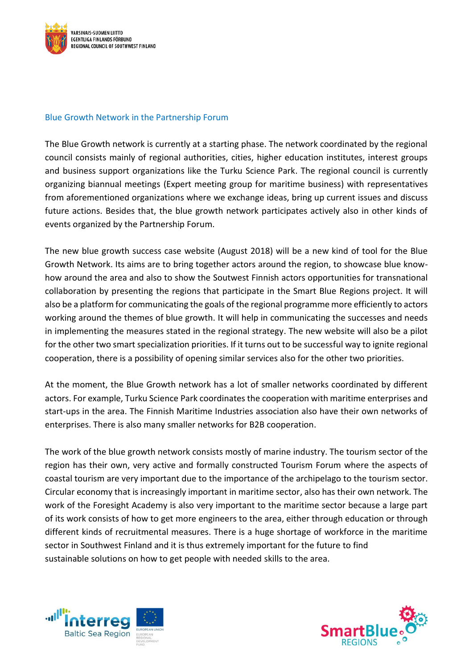

## Blue Growth Network in the Partnership Forum

The Blue Growth network is currently at a starting phase. The network coordinated by the regional council consists mainly of regional authorities, cities, higher education institutes, interest groups and business support organizations like the Turku Science Park. The regional council is currently organizing biannual meetings (Expert meeting group for maritime business) with representatives from aforementioned organizations where we exchange ideas, bring up current issues and discuss future actions. Besides that, the blue growth network participates actively also in other kinds of events organized by the Partnership Forum.

The new blue growth success case website (August 2018) will be a new kind of tool for the Blue Growth Network. Its aims are to bring together actors around the region, to showcase blue knowhow around the area and also to show the Soutwest Finnish actors opportunities for transnational collaboration by presenting the regions that participate in the Smart Blue Regions project. It will also be a platform for communicating the goals of the regional programme more efficiently to actors working around the themes of blue growth. It will help in communicating the successes and needs in implementing the measures stated in the regional strategy. The new website will also be a pilot for the other two smart specialization priorities. If it turns out to be successful way to ignite regional cooperation, there is a possibility of opening similar services also for the other two priorities.

At the moment, the Blue Growth network has a lot of smaller networks coordinated by different actors. For example, Turku Science Park coordinates the cooperation with maritime enterprises and start-ups in the area. The Finnish Maritime Industries association also have their own networks of enterprises. There is also many smaller networks for B2B cooperation.

The work of the blue growth network consists mostly of marine industry. The tourism sector of the region has their own, very active and formally constructed Tourism Forum where the aspects of coastal tourism are very important due to the importance of the archipelago to the tourism sector. Circular economy that is increasingly important in maritime sector, also has their own network. The work of the Foresight Academy is also very important to the maritime sector because a large part of its work consists of how to get more engineers to the area, either through education or through different kinds of recruitmental measures. There is a huge shortage of workforce in the maritime sector in Southwest Finland and it is thus extremely important for the future to find sustainable solutions on how to get people with needed skills to the area.